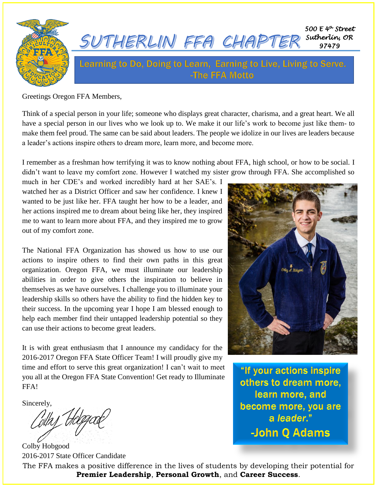

Greetings Oregon FFA Members,

Think of a special person in your life; someone who displays great character, charisma, and a great heart. We all have a special person in our lives who we look up to. We make it our life's work to become just like them- to make them feel proud. The same can be said about leaders. The people we idolize in our lives are leaders because a leader's actions inspire others to dream more, learn more, and become more.

I remember as a freshman how terrifying it was to know nothing about FFA, high school, or how to be social. I didn't want to leave my comfort zone. However I watched my sister grow through FFA. She accomplished so

much in her CDE's and worked incredibly hard at her SAE's. I watched her as a District Officer and saw her confidence. I knew I wanted to be just like her. FFA taught her how to be a leader, and her actions inspired me to dream about being like her, they inspired me to want to learn more about FFA, and they inspired me to grow out of my comfort zone.

The National FFA Organization has showed us how to use our actions to inspire others to find their own paths in this great organization. Oregon FFA, we must illuminate our leadership abilities in order to give others the inspiration to believe in themselves as we have ourselves. I challenge you to illuminate your leadership skills so others have the ability to find the hidden key to their success. In the upcoming year I hope I am blessed enough to help each member find their untapped leadership potential so they can use their actions to become great leaders.

It is with great enthusiasm that I announce my candidacy for the 2016-2017 Oregon FFA State Officer Team! I will proudly give my time and effort to serve this great organization! I can't wait to meet you all at the Oregon FFA State Convention! Get ready to Illuminate FFA!

Sincerely,

Colby Hobgood 2016-2017 State Officer Candidate



"If your actions inspire others to dream more, learn more, and become more, you are a leader." **-John Q Adams** 

The FFA makes a positive difference in the lives of students by developing their potential for **Premier Leadership**, **Personal Growth**, and **Career Success**.